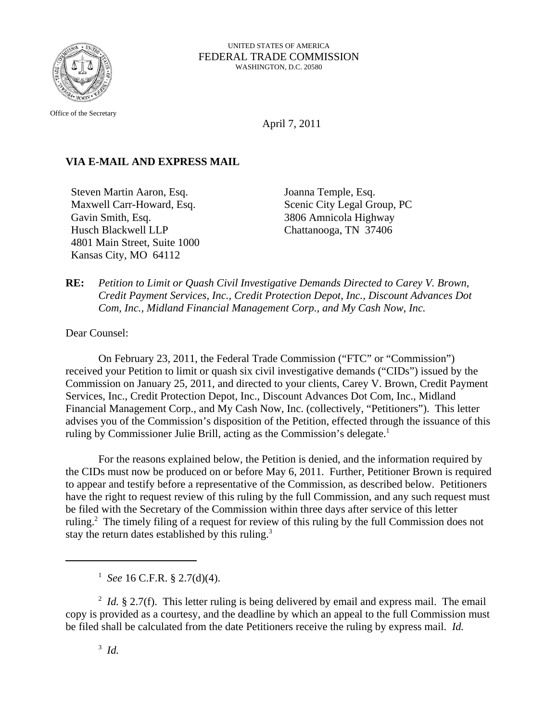

UNITED STATES OF AMERICA FEDERAL TRADE COMMISSION WASHINGTON, D.C. 20580

Office of the Secretary

April 7, 2011

## **VIA E-MAIL AND EXPRESS MAIL**

Steven Martin Aaron, Esq. Maxwell Carr-Howard, Esq. Gavin Smith, Esq. Husch Blackwell LLP 4801 Main Street, Suite 1000 Kansas City, MO 64112

Joanna Temple, Esq. Scenic City Legal Group, PC 3806 Amnicola Highway Chattanooga, TN 37406

**RE:** *Petition to Limit or Quash Civil Investigative Demands Directed to Carey V. Brown, Credit Payment Services, Inc., Credit Protection Depot, Inc., Discount Advances Dot Com, Inc., Midland Financial Management Corp., and My Cash Now, Inc.*

Dear Counsel:

On February 23, 2011, the Federal Trade Commission ("FTC" or "Commission") received your Petition to limit or quash six civil investigative demands ("CIDs") issued by the Commission on January 25, 2011, and directed to your clients, Carey V. Brown, Credit Payment Services, Inc., Credit Protection Depot, Inc., Discount Advances Dot Com, Inc., Midland Financial Management Corp., and My Cash Now, Inc. (collectively, "Petitioners"). This letter advises you of the Commission's disposition of the Petition, effected through the issuance of this ruling by Commissioner Julie Brill, acting as the Commission's delegate.<sup>1</sup>

For the reasons explained below, the Petition is denied, and the information required by the CIDs must now be produced on or before May 6, 2011. Further, Petitioner Brown is required to appear and testify before a representative of the Commission, as described below. Petitioners have the right to request review of this ruling by the full Commission, and any such request must be filed with the Secretary of the Commission within three days after service of this letter ruling.<sup>2</sup> The timely filing of a request for review of this ruling by the full Commission does not stay the return dates established by this ruling.<sup>3</sup>

<sup>&</sup>lt;sup>1</sup> See 16 C.F.R. § 2.7(d)(4).

 $^{2}$  *Id.* § 2.7(f). This letter ruling is being delivered by email and express mail. The email copy is provided as a courtesy, and the deadline by which an appeal to the full Commission must be filed shall be calculated from the date Petitioners receive the ruling by express mail. *Id.*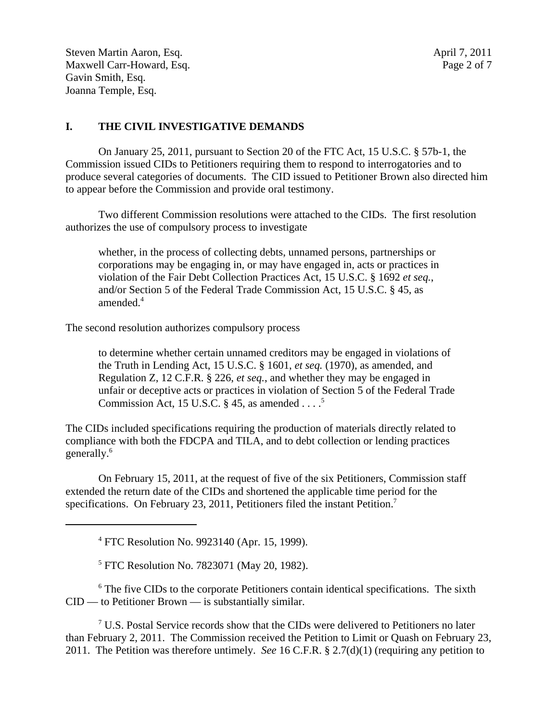Steven Martin Aaron, Esq.  $\frac{1}{2}$  and  $\frac{1}{2}$  and  $\frac{1}{2}$  and  $\frac{1}{2}$  and  $\frac{1}{2}$  and  $\frac{1}{2}$  and  $\frac{1}{2}$  and  $\frac{1}{2}$  and  $\frac{1}{2}$  and  $\frac{1}{2}$  and  $\frac{1}{2}$  and  $\frac{1}{2}$  and  $\frac{1}{2}$  and  $\frac{1}{2}$  and Maxwell Carr-Howard, Esq. Page 2 of 7 Gavin Smith, Esq. Joanna Temple, Esq.

### **I. THE CIVIL INVESTIGATIVE DEMANDS**

On January 25, 2011, pursuant to Section 20 of the FTC Act, 15 U.S.C. § 57b-1, the Commission issued CIDs to Petitioners requiring them to respond to interrogatories and to produce several categories of documents. The CID issued to Petitioner Brown also directed him to appear before the Commission and provide oral testimony.

Two different Commission resolutions were attached to the CIDs. The first resolution authorizes the use of compulsory process to investigate

whether, in the process of collecting debts, unnamed persons, partnerships or corporations may be engaging in, or may have engaged in, acts or practices in violation of the Fair Debt Collection Practices Act, 15 U.S.C. § 1692 *et seq.*, and/or Section 5 of the Federal Trade Commission Act, 15 U.S.C. § 45, as amended.<sup>4</sup>

The second resolution authorizes compulsory process

to determine whether certain unnamed creditors may be engaged in violations of the Truth in Lending Act, 15 U.S.C. § 1601, *et seq.* (1970), as amended, and Regulation Z, 12 C.F.R. § 226, *et seq.*, and whether they may be engaged in unfair or deceptive acts or practices in violation of Section 5 of the Federal Trade Commission Act, 15 U.S.C.  $\S$  45, as amended . . . .<sup>5</sup>

The CIDs included specifications requiring the production of materials directly related to compliance with both the FDCPA and TILA, and to debt collection or lending practices generally.6

On February 15, 2011, at the request of five of the six Petitioners, Commission staff extended the return date of the CIDs and shortened the applicable time period for the specifications. On February 23, 2011, Petitioners filed the instant Petition.<sup>7</sup>

4 FTC Resolution No. 9923140 (Apr. 15, 1999).

<sup>5</sup> FTC Resolution No. 7823071 (May 20, 1982).

<sup>6</sup> The five CIDs to the corporate Petitioners contain identical specifications. The sixth CID — to Petitioner Brown — is substantially similar.

 $7$  U.S. Postal Service records show that the CIDs were delivered to Petitioners no later than February 2, 2011. The Commission received the Petition to Limit or Quash on February 23, 2011. The Petition was therefore untimely. *See* 16 C.F.R. § 2.7(d)(1) (requiring any petition to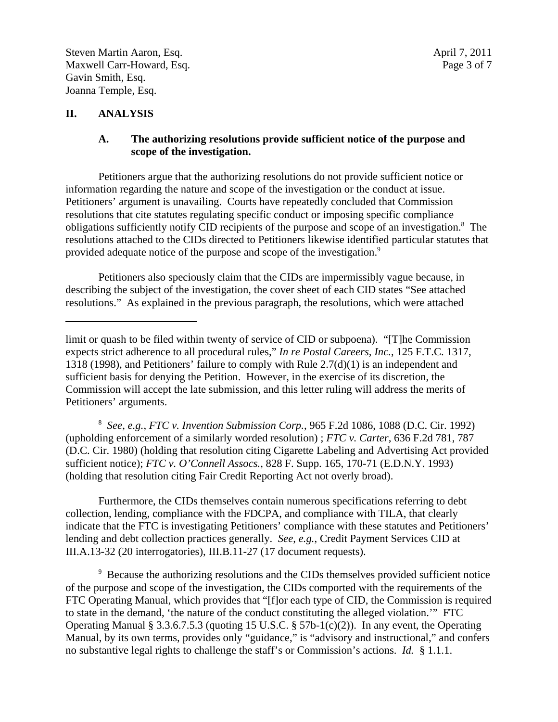### **II. ANALYSIS**

#### **A. The authorizing resolutions provide sufficient notice of the purpose and scope of the investigation.**

Petitioners argue that the authorizing resolutions do not provide sufficient notice or information regarding the nature and scope of the investigation or the conduct at issue. Petitioners' argument is unavailing. Courts have repeatedly concluded that Commission resolutions that cite statutes regulating specific conduct or imposing specific compliance obligations sufficiently notify CID recipients of the purpose and scope of an investigation.<sup>8</sup> The resolutions attached to the CIDs directed to Petitioners likewise identified particular statutes that provided adequate notice of the purpose and scope of the investigation.<sup>9</sup>

Petitioners also speciously claim that the CIDs are impermissibly vague because, in describing the subject of the investigation, the cover sheet of each CID states "See attached resolutions." As explained in the previous paragraph, the resolutions, which were attached

8 *See*, *e.g.*, *FTC v. Invention Submission Corp.*, 965 F.2d 1086, 1088 (D.C. Cir. 1992) (upholding enforcement of a similarly worded resolution) ; *FTC v. Carter*, 636 F.2d 781, 787 (D.C. Cir. 1980) (holding that resolution citing Cigarette Labeling and Advertising Act provided sufficient notice); *FTC v. O'Connell Assocs.*, 828 F. Supp. 165, 170-71 (E.D.N.Y. 1993) (holding that resolution citing Fair Credit Reporting Act not overly broad).

Furthermore, the CIDs themselves contain numerous specifications referring to debt collection, lending, compliance with the FDCPA, and compliance with TILA, that clearly indicate that the FTC is investigating Petitioners' compliance with these statutes and Petitioners' lending and debt collection practices generally. *See*, *e.g.*, Credit Payment Services CID at III.A.13-32 (20 interrogatories), III.B.11-27 (17 document requests).

<sup>9</sup> Because the authorizing resolutions and the CIDs themselves provided sufficient notice of the purpose and scope of the investigation, the CIDs comported with the requirements of the FTC Operating Manual, which provides that "[f]or each type of CID, the Commission is required to state in the demand, 'the nature of the conduct constituting the alleged violation.'" FTC Operating Manual § 3.3.6.7.5.3 (quoting 15 U.S.C. § 57b-1(c)(2)). In any event, the Operating Manual, by its own terms, provides only "guidance," is "advisory and instructional," and confers no substantive legal rights to challenge the staff's or Commission's actions. *Id.* § 1.1.1.

limit or quash to be filed within twenty of service of CID or subpoena). "[T]he Commission expects strict adherence to all procedural rules," *In re Postal Careers, Inc.*, 125 F.T.C. 1317, 1318 (1998), and Petitioners' failure to comply with Rule 2.7(d)(1) is an independent and sufficient basis for denying the Petition. However, in the exercise of its discretion, the Commission will accept the late submission, and this letter ruling will address the merits of Petitioners' arguments.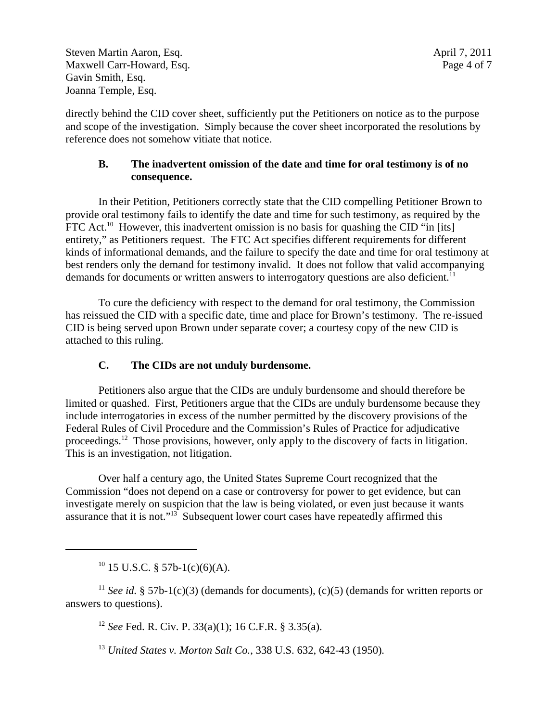Steven Martin Aaron, Esq.  $\frac{1}{2}$  and  $\frac{1}{2}$  and  $\frac{1}{2}$  and  $\frac{1}{2}$  and  $\frac{1}{2}$  and  $\frac{1}{2}$  and  $\frac{1}{2}$  and  $\frac{1}{2}$  and  $\frac{1}{2}$  and  $\frac{1}{2}$  and  $\frac{1}{2}$  and  $\frac{1}{2}$  and  $\frac{1}{2}$  and  $\frac{1}{2}$  and Maxwell Carr-Howard, Esq. 2008. Page 4 of 7 Gavin Smith, Esq. Joanna Temple, Esq.

directly behind the CID cover sheet, sufficiently put the Petitioners on notice as to the purpose and scope of the investigation. Simply because the cover sheet incorporated the resolutions by reference does not somehow vitiate that notice.

# **B. The inadvertent omission of the date and time for oral testimony is of no consequence.**

In their Petition, Petitioners correctly state that the CID compelling Petitioner Brown to provide oral testimony fails to identify the date and time for such testimony, as required by the FTC Act.<sup>10</sup> However, this inadvertent omission is no basis for quashing the CID "in [its] entirety," as Petitioners request. The FTC Act specifies different requirements for different kinds of informational demands, and the failure to specify the date and time for oral testimony at best renders only the demand for testimony invalid. It does not follow that valid accompanying demands for documents or written answers to interrogatory questions are also deficient.<sup>11</sup>

To cure the deficiency with respect to the demand for oral testimony, the Commission has reissued the CID with a specific date, time and place for Brown's testimony. The re-issued CID is being served upon Brown under separate cover; a courtesy copy of the new CID is attached to this ruling.

# **C. The CIDs are not unduly burdensome.**

Petitioners also argue that the CIDs are unduly burdensome and should therefore be limited or quashed. First, Petitioners argue that the CIDs are unduly burdensome because they include interrogatories in excess of the number permitted by the discovery provisions of the Federal Rules of Civil Procedure and the Commission's Rules of Practice for adjudicative proceedings.<sup>12</sup> Those provisions, however, only apply to the discovery of facts in litigation. This is an investigation, not litigation.

Over half a century ago, the United States Supreme Court recognized that the Commission "does not depend on a case or controversy for power to get evidence, but can investigate merely on suspicion that the law is being violated, or even just because it wants assurance that it is not."13 Subsequent lower court cases have repeatedly affirmed this

 $10$  15 U.S.C. § 57b-1(c)(6)(A).

<sup>11</sup> *See id.* § 57b-1(c)(3) (demands for documents), (c)(5) (demands for written reports or answers to questions).

<sup>12</sup> *See* Fed. R. Civ. P. 33(a)(1); 16 C.F.R. § 3.35(a).

<sup>13</sup> *United States v. Morton Salt Co.*, 338 U.S. 632, 642-43 (1950)*.*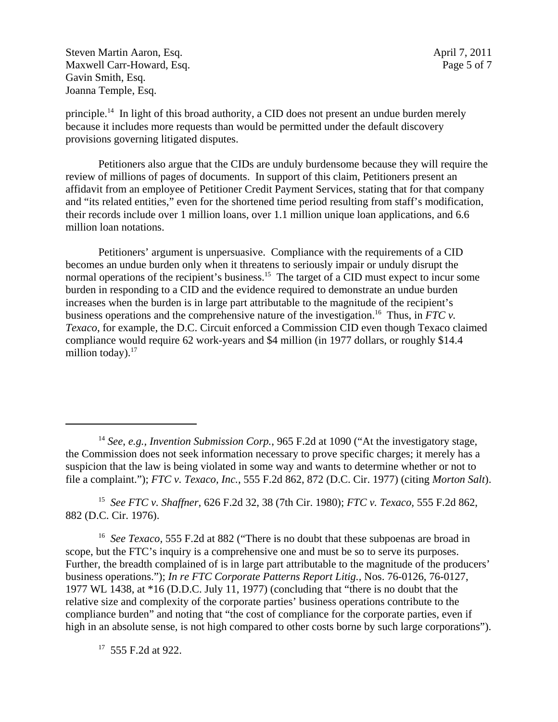Steven Martin Aaron, Esq.  $\frac{1}{2}$  and  $\frac{1}{2}$  and  $\frac{1}{2}$  and  $\frac{1}{2}$  and  $\frac{1}{2}$  and  $\frac{1}{2}$  and  $\frac{1}{2}$  and  $\frac{1}{2}$  and  $\frac{1}{2}$  and  $\frac{1}{2}$  and  $\frac{1}{2}$  and  $\frac{1}{2}$  and  $\frac{1}{2}$  and  $\frac{1}{2}$  and Maxwell Carr-Howard, Esq. 2008. Page 5 of 7 Gavin Smith, Esq. Joanna Temple, Esq.

principle.14 In light of this broad authority, a CID does not present an undue burden merely because it includes more requests than would be permitted under the default discovery provisions governing litigated disputes.

Petitioners also argue that the CIDs are unduly burdensome because they will require the review of millions of pages of documents. In support of this claim, Petitioners present an affidavit from an employee of Petitioner Credit Payment Services, stating that for that company and "its related entities," even for the shortened time period resulting from staff's modification, their records include over 1 million loans, over 1.1 million unique loan applications, and 6.6 million loan notations.

Petitioners' argument is unpersuasive. Compliance with the requirements of a CID becomes an undue burden only when it threatens to seriously impair or unduly disrupt the normal operations of the recipient's business.<sup>15</sup> The target of a CID must expect to incur some burden in responding to a CID and the evidence required to demonstrate an undue burden increases when the burden is in large part attributable to the magnitude of the recipient's business operations and the comprehensive nature of the investigation.<sup>16</sup> Thus, in *FTC v*. *Texaco*, for example, the D.C. Circuit enforced a Commission CID even though Texaco claimed compliance would require 62 work-years and \$4 million (in 1977 dollars, or roughly \$14.4 million today). $17$ 

15 *See FTC v. Shaffner,* 626 F.2d 32, 38 (7th Cir. 1980); *FTC v. Texaco,* 555 F.2d 862, 882 (D.C. Cir. 1976).

<sup>16</sup> *See Texaco*, 555 F.2d at 882 ("There is no doubt that these subpoenas are broad in scope, but the FTC's inquiry is a comprehensive one and must be so to serve its purposes. Further, the breadth complained of is in large part attributable to the magnitude of the producers' business operations."); *In re FTC Corporate Patterns Report Litig.,* Nos. 76-0126, 76-0127, 1977 WL 1438, at \*16 (D.D.C. July 11, 1977) (concluding that "there is no doubt that the relative size and complexity of the corporate parties' business operations contribute to the compliance burden" and noting that "the cost of compliance for the corporate parties, even if high in an absolute sense, is not high compared to other costs borne by such large corporations").

<sup>17</sup> 555 F.2d at 922.

<sup>14</sup> *See*, *e.g., Invention Submission Corp.*, 965 F.2d at 1090 ("At the investigatory stage, the Commission does not seek information necessary to prove specific charges; it merely has a suspicion that the law is being violated in some way and wants to determine whether or not to file a complaint."); *FTC v. Texaco, Inc.*, 555 F.2d 862, 872 (D.C. Cir. 1977) (citing *Morton Salt*).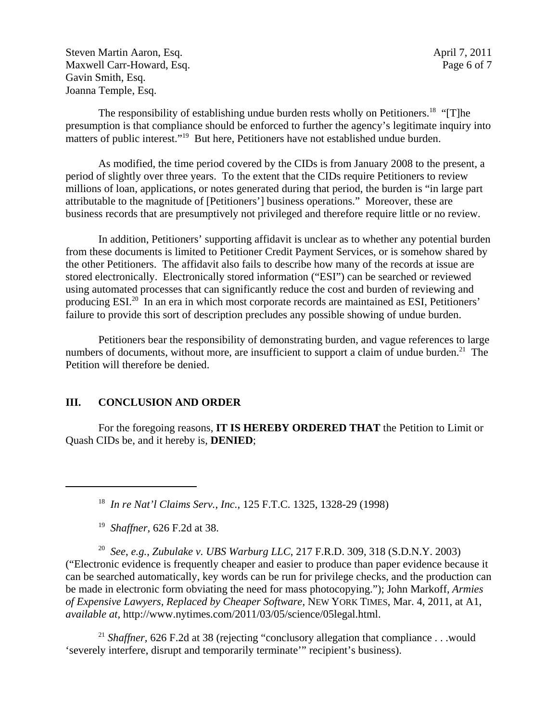Steven Martin Aaron, Esq.  $\frac{1}{2}$  and  $\frac{1}{2}$  and  $\frac{1}{2}$  and  $\frac{1}{2}$  and  $\frac{1}{2}$  and  $\frac{1}{2}$  and  $\frac{1}{2}$  and  $\frac{1}{2}$  and  $\frac{1}{2}$  and  $\frac{1}{2}$  and  $\frac{1}{2}$  and  $\frac{1}{2}$  and  $\frac{1}{2}$  and  $\frac{1}{2}$  and Maxwell Carr-Howard, Esq. 2008. Page 6 of 7 Gavin Smith, Esq. Joanna Temple, Esq.

The responsibility of establishing undue burden rests wholly on Petitioners.<sup>18</sup> "[T]he presumption is that compliance should be enforced to further the agency's legitimate inquiry into matters of public interest."<sup>19</sup> But here, Petitioners have not established undue burden.

As modified, the time period covered by the CIDs is from January 2008 to the present, a period of slightly over three years. To the extent that the CIDs require Petitioners to review millions of loan, applications, or notes generated during that period, the burden is "in large part attributable to the magnitude of [Petitioners'] business operations." Moreover, these are business records that are presumptively not privileged and therefore require little or no review.

In addition, Petitioners' supporting affidavit is unclear as to whether any potential burden from these documents is limited to Petitioner Credit Payment Services, or is somehow shared by the other Petitioners. The affidavit also fails to describe how many of the records at issue are stored electronically. Electronically stored information ("ESI") can be searched or reviewed using automated processes that can significantly reduce the cost and burden of reviewing and producing ESI.20 In an era in which most corporate records are maintained as ESI, Petitioners' failure to provide this sort of description precludes any possible showing of undue burden.

Petitioners bear the responsibility of demonstrating burden, and vague references to large numbers of documents, without more, are insufficient to support a claim of undue burden.<sup>21</sup> The Petition will therefore be denied.

#### **III. CONCLUSION AND ORDER**

For the foregoing reasons, **IT IS HEREBY ORDERED THAT** the Petition to Limit or Quash CIDs be, and it hereby is, **DENIED**;

18 *In re Nat'l Claims Serv., Inc.,* 125 F.T.C. 1325, 1328-29 (1998)

19 *Shaffner,* 626 F.2d at 38.

20 *See*, *e.g.*, *Zubulake v. UBS Warburg LLC*, 217 F.R.D. 309, 318 (S.D.N.Y. 2003) ("Electronic evidence is frequently cheaper and easier to produce than paper evidence because it can be searched automatically, key words can be run for privilege checks, and the production can be made in electronic form obviating the need for mass photocopying."); John Markoff, *Armies of Expensive Lawyers, Replaced by Cheaper Software*, NEW YORK TIMES, Mar. 4, 2011, at A1, *available at,* http://www.nytimes.com/2011/03/05/science/05legal.html.

<sup>21</sup> *Shaffner*, 626 F.2d at 38 (rejecting "conclusory allegation that compliance . . .would 'severely interfere, disrupt and temporarily terminate'" recipient's business).